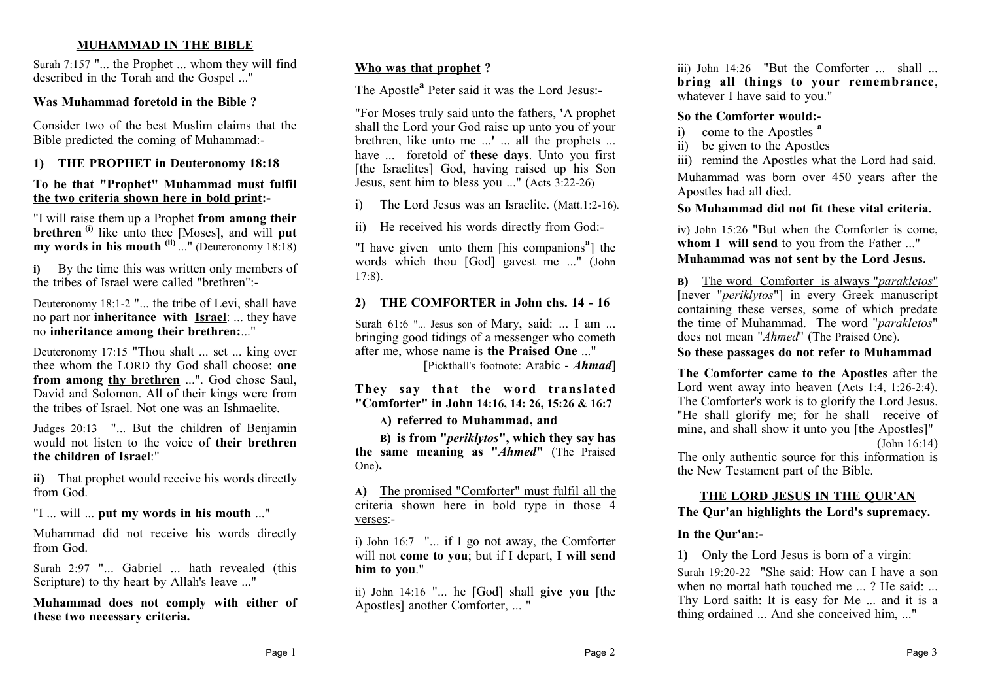# **MUHAMMAD IN THE BIBLE**

Surah 7:157 "... the Prophet ... whom they will find described in the Torah and the Gospel ..."

### **Was Muhammad foretold in the Bible ?**

Consider two of the best Muslim claims that the Bible predicted the coming of Muhammad:-

# **1) THE PROPHET in Deuteronomy 18:18**

#### **To be that "Prophet" Muhammad must fulfil the two criteria shown here in bold print:-**

"I will raise them up a Prophet **from among their brethren (i)** like unto thee [Moses], and will **put my words in his mouth (ii)** ..." (Deuteronomy 18:18)

**i)** By the time this was written only members of the tribes of Israel were called "brethren":-

Deuteronomy 18:1-2 "... the tribe of Levi, shall have no part nor **inheritance with Israel**: ... they have no **inheritance among their brethren:**..."

Deuteronomy 17:15 "Thou shalt ... set ... king over thee whom the LORD thy God shall choose: **one from among thy brethren** ...". God chose Saul, David and Solomon. All of their kings were from the tribes of Israel. Not one was an Ishmaelite.

Judges 20:13 "... But the children of Benjamin would not listen to the voice of **their brethren the children of Israel**:"

**ii)** That prophet would receive his words directly from God.

"I ... will ... **put my words in his mouth** ..."

Muhammad did not receive his words directly from God.

Surah 2:97 "... Gabriel ... hath revealed (this Scripture) to thy heart by Allah's leave ..."

**Muhammad does not comply with either of these two necessary criteria.**

### **Who was that prophet ?**

The Apostle**<sup>a</sup>** Peter said it was the Lord Jesus:-

"For Moses truly said unto the fathers, **'**A prophet shall the Lord your God raise up unto you of your brethren, like unto me ...**'** ... all the prophets ... have ... foretold of **these days**. Unto you first [the Israelites] God, having raised up his Son Jesus, sent him to bless you ..." (Acts 3:22-26)

i) The Lord Jesus was an Israelite. (Matt.1:2-16).

ii) He received his words directly from God:-

"I have given unto them [his companions**<sup>a</sup>** ] the words which thou [God] gavest me ..." (John 17:8).

### **2) THE COMFORTER in John chs. 14 - 16**

Surah 61:6 "... Jesus son of Mary, said: ... I am ... bringing good tidings of a messenger who cometh after me, whose name is **the Praised One** ..."

[Pickthall's footnote: Arabic - *Ahmad*]

**They say that the word translated "Comforter" in John 14:16, 14: 26, 15:26 & 16:7**

### **A) referred to Muhammad, and**

**B) is from "***periklytos***", which they say has the same meaning as "***Ahmed***"** (The Praised One)**.**

**A)** The promised "Comforter" must fulfil all the criteria shown here in bold type in those 4 verses:-

i) John 16:7 "... if I go not away, the Comforter will not **come to you**; but if I depart, **I will send him to you**."

ii) John 14:16 "... he [God] shall **give you** [the Apostles] another Comforter, ... "

iii) John 14:26 "But the Comforter ... shall ... **bring all things to your remembrance**, whatever I have said to you."

#### **So the Comforter would:-**

- i) come to the Apostles **<sup>a</sup>**
- ii) be given to the Apostles

iii) remind the Apostles what the Lord had said.

Muhammad was born over 450 years after the Apostles had all died.

# **So Muhammad did not fit these vital criteria.**

iv) John 15:26 "But when the Comforter is come, **whom I will send** to you from the Father ..." **Muhammad was not sent by the Lord Jesus.**

**B)** The word Comforter is always "*parakletos*" [never "*periklytos*"] in every Greek manuscript containing these verses, some of which predate the time of Muhammad. The word "*parakletos*" does not mean "*Ahmed*" (The Praised One).

# **So these passages do not refer to Muhammad**

**The Comforter came to the Apostles** after the Lord went away into heaven (Acts 1:4, 1:26-2:4). The Comforter's work is to glorify the Lord Jesus. "He shall glorify me; for he shall receive of mine, and shall show it unto you [the Apostles]" (John 16:14)

The only authentic source for this information is the New Testament part of the Bible.

# **THE LORD JESUS IN THE QUR'AN**

**The Qur'an highlights the Lord's supremacy.**

### **In the Qur'an:-**

**1)** Only the Lord Jesus is born of a virgin: Surah 19:20-22 "She said: How can I have a son when no mortal hath touched me ... ? He said: ... Thy Lord saith: It is easy for Me ... and it is a thing ordained ... And she conceived him, ..."